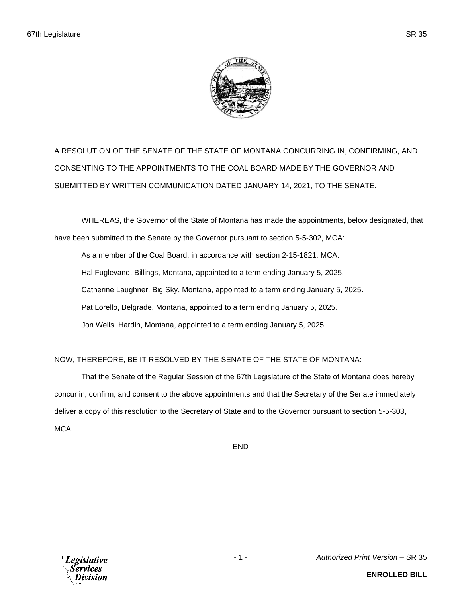

A RESOLUTION OF THE SENATE OF THE STATE OF MONTANA CONCURRING IN, CONFIRMING, AND CONSENTING TO THE APPOINTMENTS TO THE COAL BOARD MADE BY THE GOVERNOR AND SUBMITTED BY WRITTEN COMMUNICATION DATED JANUARY 14, 2021, TO THE SENATE.

WHEREAS, the Governor of the State of Montana has made the appointments, below designated, that have been submitted to the Senate by the Governor pursuant to section 5-5-302, MCA:

As a member of the Coal Board, in accordance with section 2-15-1821, MCA: Hal Fuglevand, Billings, Montana, appointed to a term ending January 5, 2025. Catherine Laughner, Big Sky, Montana, appointed to a term ending January 5, 2025. Pat Lorello, Belgrade, Montana, appointed to a term ending January 5, 2025. Jon Wells, Hardin, Montana, appointed to a term ending January 5, 2025.

## NOW, THEREFORE, BE IT RESOLVED BY THE SENATE OF THE STATE OF MONTANA:

That the Senate of the Regular Session of the 67th Legislature of the State of Montana does hereby concur in, confirm, and consent to the above appointments and that the Secretary of the Senate immediately deliver a copy of this resolution to the Secretary of State and to the Governor pursuant to section 5-5-303, MCA.

- END -



- 1 - *Authorized Print Version* – SR 35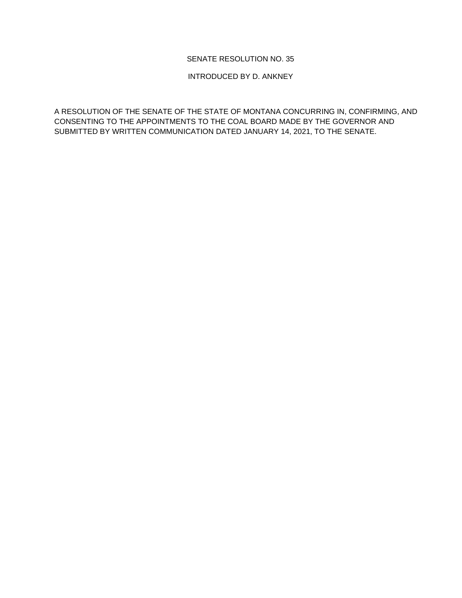## SENATE RESOLUTION NO. 35

## INTRODUCED BY D. ANKNEY

A RESOLUTION OF THE SENATE OF THE STATE OF MONTANA CONCURRING IN, CONFIRMING, AND CONSENTING TO THE APPOINTMENTS TO THE COAL BOARD MADE BY THE GOVERNOR AND SUBMITTED BY WRITTEN COMMUNICATION DATED JANUARY 14, 2021, TO THE SENATE.